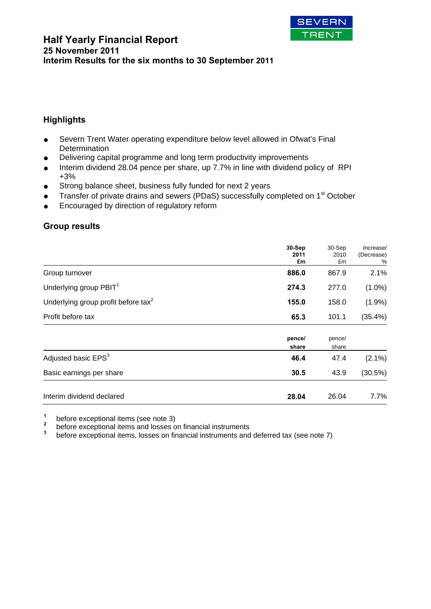

## **Half Yearly Financial Report 25 November 2011 Interim Results for the six months to 30 September 2011**

## **Highlights**

- **●** Severn Trent Water operating expenditure below level allowed in Ofwat's Final **Determination**
- **●** Delivering capital programme and long term productivity improvements
- **●** Interim dividend 28.04 pence per share, up 7.7% in line with dividend policy of RPI +3%
- **●** Strong balance sheet, business fully funded for next 2 years
- Transfer of private drains and sewers (PDaS) successfully completed on 1<sup>st</sup> October
- **●** Encouraged by direction of regulatory reform

### **Group results**

|                                                 | 30-Sep<br>2011<br>£m | 30-Sep<br>2010<br>£m | Increase/<br>(Decrease)<br>% |
|-------------------------------------------------|----------------------|----------------------|------------------------------|
| Group turnover                                  | 886.0                | 867.9                | 2.1%                         |
| Underlying group PBIT <sup>1</sup>              | 274.3                | 277.0                | $(1.0\%)$                    |
| Underlying group profit before tax <sup>2</sup> | 155.0                | 158.0                | $(1.9\%)$                    |
| Profit before tax                               | 65.3                 | 101.1                | $(35.4\%)$                   |
|                                                 | pence/<br>share      | pence/<br>share      |                              |
| Adjusted basic EPS <sup>3</sup>                 | 46.4                 | 47.4                 | $(2.1\%)$                    |
| Basic earnings per share                        | 30.5                 | 43.9                 | (30.5%)                      |
| Interim dividend declared                       | 28.04                | 26.04                | 7.7%                         |

**1**  $\frac{1}{2}$  before exceptional items (see note 3)

**<sup>2</sup>**before exceptional items and losses on financial instruments **<sup>3</sup>**

before exceptional items, losses on financial instruments and deferred tax (see note 7)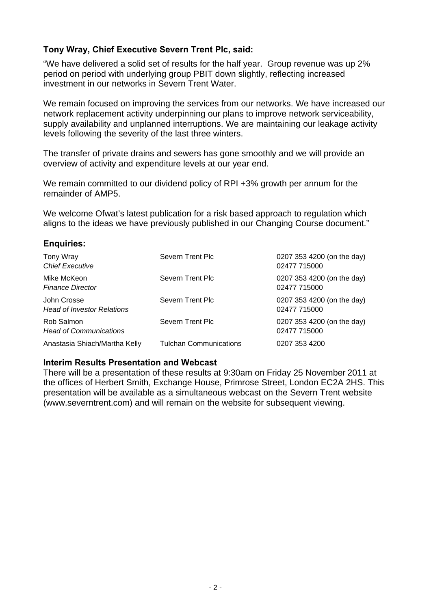## **Tony Wray, Chief Executive Severn Trent Plc, said:**

"We have delivered a solid set of results for the half year. Group revenue was up 2% period on period with underlying group PBIT down slightly, reflecting increased investment in our networks in Severn Trent Water.

We remain focused on improving the services from our networks. We have increased our network replacement activity underpinning our plans to improve network serviceability, supply availability and unplanned interruptions. We are maintaining our leakage activity levels following the severity of the last three winters.

The transfer of private drains and sewers has gone smoothly and we will provide an overview of activity and expenditure levels at our year end.

We remain committed to our dividend policy of RPI +3% growth per annum for the remainder of AMP5.

We welcome Ofwat's latest publication for a risk based approach to regulation which aligns to the ideas we have previously published in our Changing Course document."

## **Enquiries:**

| Tony Wray<br><b>Chief Executive</b>              | Severn Trent Plc              | 0207 353 4200 (on the day)<br>02477 715000 |
|--------------------------------------------------|-------------------------------|--------------------------------------------|
| Mike McKeon<br><b>Finance Director</b>           | Severn Trent Plc              | 0207 353 4200 (on the day)<br>02477 715000 |
| John Crosse<br><b>Head of Investor Relations</b> | Severn Trent Plc              | 0207 353 4200 (on the day)<br>02477 715000 |
| Rob Salmon<br><b>Head of Communications</b>      | Severn Trent Plc              | 0207 353 4200 (on the day)<br>02477 715000 |
| Anastasia Shiach/Martha Kelly                    | <b>Tulchan Communications</b> | 0207 353 4200                              |

## **Interim Results Presentation and Webcast**

There will be a presentation of these results at 9:30am on Friday 25 November 2011 at the offices of Herbert Smith, Exchange House, Primrose Street, London EC2A 2HS. This presentation will be available as a simultaneous webcast on the Severn Trent website (www.severntrent.com) and will remain on the website for subsequent viewing.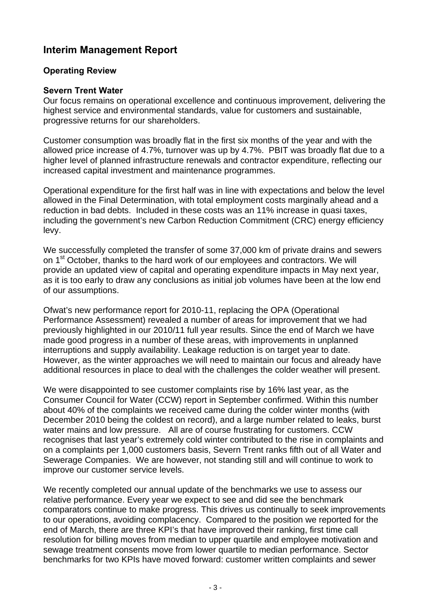# **Interim Management Report**

## **Operating Review**

## **Severn Trent Water**

Our focus remains on operational excellence and continuous improvement, delivering the highest service and environmental standards, value for customers and sustainable, progressive returns for our shareholders.

Customer consumption was broadly flat in the first six months of the year and with the allowed price increase of 4.7%, turnover was up by 4.7%. PBIT was broadly flat due to a higher level of planned infrastructure renewals and contractor expenditure, reflecting our increased capital investment and maintenance programmes.

Operational expenditure for the first half was in line with expectations and below the level allowed in the Final Determination, with total employment costs marginally ahead and a reduction in bad debts. Included in these costs was an 11% increase in quasi taxes, including the government's new Carbon Reduction Commitment (CRC) energy efficiency levy.

We successfully completed the transfer of some 37,000 km of private drains and sewers on 1<sup>st</sup> October, thanks to the hard work of our employees and contractors. We will provide an updated view of capital and operating expenditure impacts in May next year, as it is too early to draw any conclusions as initial job volumes have been at the low end of our assumptions.

Ofwat's new performance report for 2010-11, replacing the OPA (Operational Performance Assessment) revealed a number of areas for improvement that we had previously highlighted in our 2010/11 full year results. Since the end of March we have made good progress in a number of these areas, with improvements in unplanned interruptions and supply availability. Leakage reduction is on target year to date. However, as the winter approaches we will need to maintain our focus and already have additional resources in place to deal with the challenges the colder weather will present.

We were disappointed to see customer complaints rise by 16% last year, as the Consumer Council for Water (CCW) report in September confirmed. Within this number about 40% of the complaints we received came during the colder winter months (with December 2010 being the coldest on record), and a large number related to leaks, burst water mains and low pressure. All are of course frustrating for customers. CCW recognises that last year's extremely cold winter contributed to the rise in complaints and on a complaints per 1,000 customers basis, Severn Trent ranks fifth out of all Water and Sewerage Companies. We are however, not standing still and will continue to work to improve our customer service levels.

We recently completed our annual update of the benchmarks we use to assess our relative performance. Every year we expect to see and did see the benchmark comparators continue to make progress. This drives us continually to seek improvements to our operations, avoiding complacency. Compared to the position we reported for the end of March, there are three KPI's that have improved their ranking, first time call resolution for billing moves from median to upper quartile and employee motivation and sewage treatment consents move from lower quartile to median performance. Sector benchmarks for two KPIs have moved forward: customer written complaints and sewer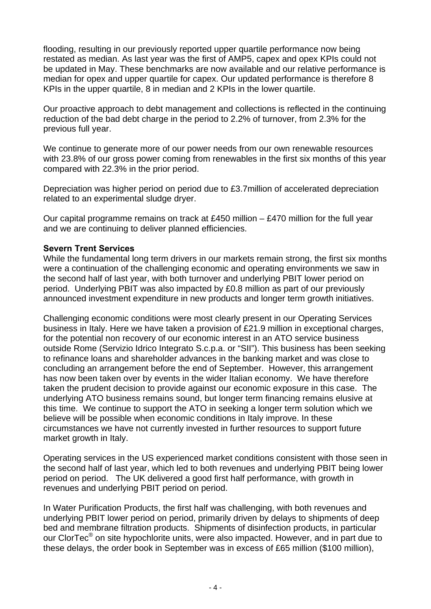flooding, resulting in our previously reported upper quartile performance now being restated as median. As last year was the first of AMP5, capex and opex KPIs could not be updated in May. These benchmarks are now available and our relative performance is median for opex and upper quartile for capex. Our updated performance is therefore 8 KPIs in the upper quartile, 8 in median and 2 KPIs in the lower quartile.

Our proactive approach to debt management and collections is reflected in the continuing reduction of the bad debt charge in the period to 2.2% of turnover, from 2.3% for the previous full year.

We continue to generate more of our power needs from our own renewable resources with 23.8% of our gross power coming from renewables in the first six months of this year compared with 22.3% in the prior period.

Depreciation was higher period on period due to £3.7million of accelerated depreciation related to an experimental sludge dryer.

Our capital programme remains on track at £450 million – £470 million for the full year and we are continuing to deliver planned efficiencies.

### **Severn Trent Services**

While the fundamental long term drivers in our markets remain strong, the first six months were a continuation of the challenging economic and operating environments we saw in the second half of last year, with both turnover and underlying PBIT lower period on period. Underlying PBIT was also impacted by £0.8 million as part of our previously announced investment expenditure in new products and longer term growth initiatives.

Challenging economic conditions were most clearly present in our Operating Services business in Italy. Here we have taken a provision of £21.9 million in exceptional charges, for the potential non recovery of our economic interest in an ATO service business outside Rome (Servizio Idrico Integrato S.c.p.a. or "SII"). This business has been seeking to refinance loans and shareholder advances in the banking market and was close to concluding an arrangement before the end of September. However, this arrangement has now been taken over by events in the wider Italian economy. We have therefore taken the prudent decision to provide against our economic exposure in this case. The underlying ATO business remains sound, but longer term financing remains elusive at this time. We continue to support the ATO in seeking a longer term solution which we believe will be possible when economic conditions in Italy improve. In these circumstances we have not currently invested in further resources to support future market growth in Italy.

Operating services in the US experienced market conditions consistent with those seen in the second half of last year, which led to both revenues and underlying PBIT being lower period on period. The UK delivered a good first half performance, with growth in revenues and underlying PBIT period on period.

In Water Purification Products, the first half was challenging, with both revenues and underlying PBIT lower period on period, primarily driven by delays to shipments of deep bed and membrane filtration products. Shipments of disinfection products, in particular our ClorTec® on site hypochlorite units, were also impacted. However, and in part due to these delays, the order book in September was in excess of £65 million (\$100 million),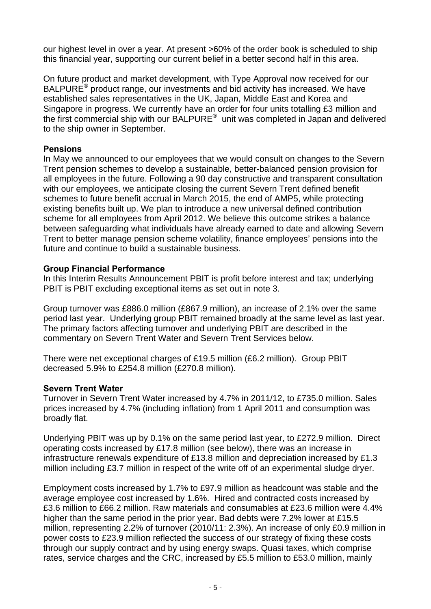our highest level in over a year. At present >60% of the order book is scheduled to ship this financial year, supporting our current belief in a better second half in this area.

On future product and market development, with Type Approval now received for our BALPURE<sup>®</sup> product range, our investments and bid activity has increased. We have established sales representatives in the UK, Japan, Middle East and Korea and Singapore in progress. We currently have an order for four units totalling £3 million and the first commercial ship with our BALPURE<sup>®</sup> unit was completed in Japan and delivered to the ship owner in September.

## **Pensions**

In May we announced to our employees that we would consult on changes to the Severn Trent pension schemes to develop a sustainable, better-balanced pension provision for all employees in the future. Following a 90 day constructive and transparent consultation with our employees, we anticipate closing the current Severn Trent defined benefit schemes to future benefit accrual in March 2015, the end of AMP5, while protecting existing benefits built up. We plan to introduce a new universal defined contribution scheme for all employees from April 2012. We believe this outcome strikes a balance between safeguarding what individuals have already earned to date and allowing Severn Trent to better manage pension scheme volatility, finance employees' pensions into the future and continue to build a sustainable business.

## **Group Financial Performance**

In this Interim Results Announcement PBIT is profit before interest and tax; underlying PBIT is PBIT excluding exceptional items as set out in note 3.

Group turnover was £886.0 million (£867.9 million), an increase of 2.1% over the same period last year. Underlying group PBIT remained broadly at the same level as last year. The primary factors affecting turnover and underlying PBIT are described in the commentary on Severn Trent Water and Severn Trent Services below.

There were net exceptional charges of £19.5 million (£6.2 million). Group PBIT decreased 5.9% to £254.8 million (£270.8 million).

## **Severn Trent Water**

Turnover in Severn Trent Water increased by 4.7% in 2011/12, to £735.0 million. Sales prices increased by 4.7% (including inflation) from 1 April 2011 and consumption was broadly flat.

Underlying PBIT was up by 0.1% on the same period last year, to £272.9 million. Direct operating costs increased by £17.8 million (see below), there was an increase in infrastructure renewals expenditure of £13.8 million and depreciation increased by £1.3 million including £3.7 million in respect of the write off of an experimental sludge dryer.

Employment costs increased by 1.7% to £97.9 million as headcount was stable and the average employee cost increased by 1.6%. Hired and contracted costs increased by £3.6 million to £66.2 million. Raw materials and consumables at £23.6 million were 4.4% higher than the same period in the prior year. Bad debts were 7.2% lower at £15.5 million, representing 2.2% of turnover (2010/11: 2.3%). An increase of only £0.9 million in power costs to £23.9 million reflected the success of our strategy of fixing these costs through our supply contract and by using energy swaps. Quasi taxes, which comprise rates, service charges and the CRC, increased by £5.5 million to £53.0 million, mainly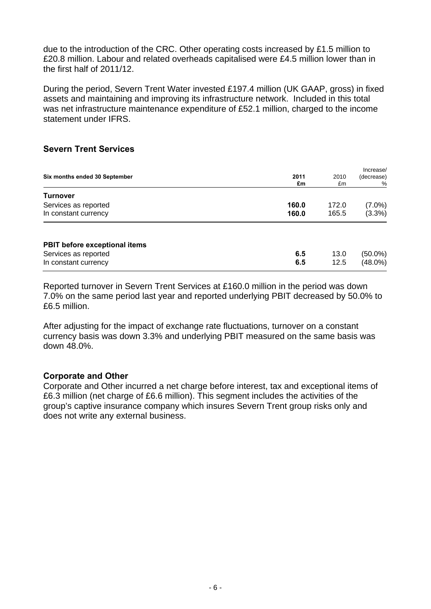due to the introduction of the CRC. Other operating costs increased by £1.5 million to £20.8 million. Labour and related overheads capitalised were £4.5 million lower than in the first half of 2011/12.

During the period, Severn Trent Water invested £197.4 million (UK GAAP, gross) in fixed assets and maintaining and improving its infrastructure network. Included in this total was net infrastructure maintenance expenditure of £52.1 million, charged to the income statement under IFRS.

## **Severn Trent Services**

| Six months ended 30 September        | 2011<br>£m | 2010<br>£m | Increase/<br>(decrease)<br>% |
|--------------------------------------|------------|------------|------------------------------|
| <b>Turnover</b>                      |            |            |                              |
| Services as reported                 | 160.0      | 172.0      | $(7.0\%)$                    |
| In constant currency                 | 160.0      | 165.5      | (3.3%)                       |
| <b>PBIT before exceptional items</b> |            |            |                              |
| Services as reported                 | 6.5        | 13.0       | $(50.0\%)$                   |
| In constant currency                 | 6.5        | 12.5       | (48.0%)                      |

Reported turnover in Severn Trent Services at £160.0 million in the period was down 7.0% on the same period last year and reported underlying PBIT decreased by 50.0% to £6.5 million.

After adjusting for the impact of exchange rate fluctuations, turnover on a constant currency basis was down 3.3% and underlying PBIT measured on the same basis was down 48.0%.

## **Corporate and Other**

Corporate and Other incurred a net charge before interest, tax and exceptional items of £6.3 million (net charge of £6.6 million). This segment includes the activities of the group's captive insurance company which insures Severn Trent group risks only and does not write any external business.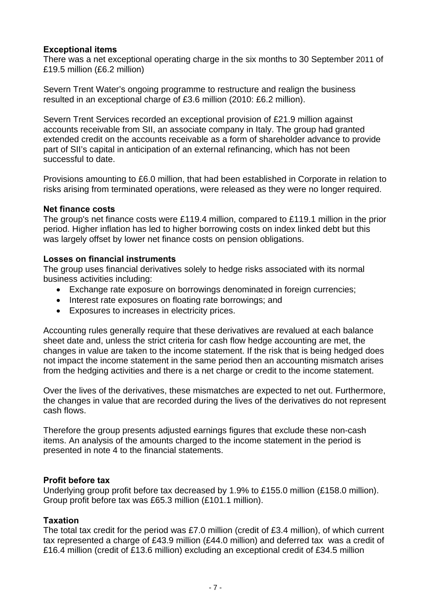## **Exceptional items**

There was a net exceptional operating charge in the six months to 30 September 2011 of £19.5 million (£6.2 million)

Severn Trent Water's ongoing programme to restructure and realign the business resulted in an exceptional charge of £3.6 million (2010: £6.2 million).

Severn Trent Services recorded an exceptional provision of £21.9 million against accounts receivable from SII, an associate company in Italy. The group had granted extended credit on the accounts receivable as a form of shareholder advance to provide part of SII's capital in anticipation of an external refinancing, which has not been successful to date.

Provisions amounting to £6.0 million, that had been established in Corporate in relation to risks arising from terminated operations, were released as they were no longer required.

## **Net finance costs**

The group's net finance costs were £119.4 million, compared to £119.1 million in the prior period. Higher inflation has led to higher borrowing costs on index linked debt but this was largely offset by lower net finance costs on pension obligations.

## **Losses on financial instruments**

The group uses financial derivatives solely to hedge risks associated with its normal business activities including:

- Exchange rate exposure on borrowings denominated in foreign currencies;
- Interest rate exposures on floating rate borrowings; and
- Exposures to increases in electricity prices.

Accounting rules generally require that these derivatives are revalued at each balance sheet date and, unless the strict criteria for cash flow hedge accounting are met, the changes in value are taken to the income statement. If the risk that is being hedged does not impact the income statement in the same period then an accounting mismatch arises from the hedging activities and there is a net charge or credit to the income statement.

Over the lives of the derivatives, these mismatches are expected to net out. Furthermore, the changes in value that are recorded during the lives of the derivatives do not represent cash flows.

Therefore the group presents adjusted earnings figures that exclude these non-cash items. An analysis of the amounts charged to the income statement in the period is presented in note 4 to the financial statements.

## **Profit before tax**

Underlying group profit before tax decreased by 1.9% to £155.0 million (£158.0 million). Group profit before tax was £65.3 million (£101.1 million).

## **Taxation**

The total tax credit for the period was £7.0 million (credit of £3.4 million), of which current tax represented a charge of £43.9 million (£44.0 million) and deferred tax was a credit of £16.4 million (credit of £13.6 million) excluding an exceptional credit of £34.5 million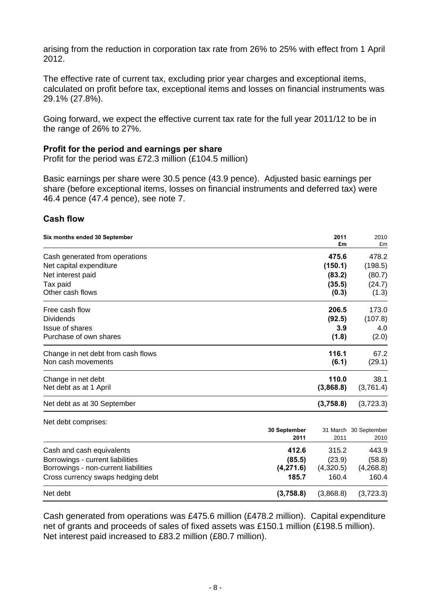arising from the reduction in corporation tax rate from 26% to 25% with effect from 1 April 2012.

The effective rate of current tax, excluding prior year charges and exceptional items, calculated on profit before tax, exceptional items and losses on financial instruments was 29.1% (27.8%).

Going forward, we expect the effective current tax rate for the full year 2011/12 to be in the range of 26% to 27%.

### **Profit for the period and earnings per share**

Profit for the period was £72.3 million (£104.5 million)

Basic earnings per share were 30.5 pence (43.9 pence). Adjusted basic earnings per share (before exceptional items, losses on financial instruments and deferred tax) were 46.4 pence (47.4 pence), see note 7.

## **Cash flow**

| Six months ended 30 September        |              | 2011<br>£m | 2010<br>£m            |
|--------------------------------------|--------------|------------|-----------------------|
| Cash generated from operations       |              | 475.6      | 478.2                 |
| Net capital expenditure              |              | (150.1)    | (198.5)               |
| Net interest paid                    |              | (83.2)     | (80.7)                |
| Tax paid                             |              | (35.5)     | (24.7)                |
| Other cash flows                     |              | (0.3)      | (1.3)                 |
| Free cash flow                       |              | 206.5      | 173.0                 |
| <b>Dividends</b>                     |              | (92.5)     | (107.8)               |
| Issue of shares                      |              | 3.9        | 4.0                   |
| Purchase of own shares               |              | (1.8)      | (2.0)                 |
| Change in net debt from cash flows   |              | 116.1      | 67.2                  |
| Non cash movements                   |              | (6.1)      | (29.1)                |
| Change in net debt                   |              | 110.0      | 38.1                  |
| Net debt as at 1 April               |              | (3,868.8)  | (3,761.4)             |
| Net debt as at 30 September          |              | (3,758.8)  | (3,723.3)             |
| Net debt comprises:                  |              |            |                       |
|                                      | 30 September |            | 31 March 30 September |
|                                      | 2011         | 2011       | 2010                  |
| Cash and cash equivalents            | 412.6        | 315.2      | 443.9                 |
| Borrowings - current liabilities     | (85.5)       | (23.9)     | (58.8)                |
| Borrowings - non-current liabilities | (4, 271.6)   | (4,320.5)  | (4,268.8)             |
| Cross currency swaps hedging debt    | 185.7        | 160.4      | 160.4                 |
| Net debt                             | (3,758.8)    | (3,868.8)  | (3,723.3)             |

Cash generated from operations was £475.6 million (£478.2 million). Capital expenditure net of grants and proceeds of sales of fixed assets was £150.1 million (£198.5 million). Net interest paid increased to £83.2 million (£80.7 million).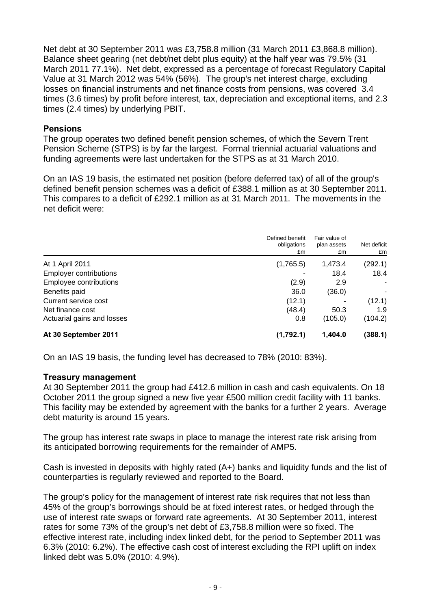Net debt at 30 September 2011 was £3,758.8 million (31 March 2011 £3,868.8 million). Balance sheet gearing (net debt/net debt plus equity) at the half year was 79.5% (31 March 2011 77.1%). Net debt, expressed as a percentage of forecast Regulatory Capital Value at 31 March 2012 was 54% (56%). The group's net interest charge, excluding losses on financial instruments and net finance costs from pensions, was covered 3.4 times (3.6 times) by profit before interest, tax, depreciation and exceptional items, and 2.3 times (2.4 times) by underlying PBIT.

## **Pensions**

The group operates two defined benefit pension schemes, of which the Severn Trent Pension Scheme (STPS) is by far the largest. Formal triennial actuarial valuations and funding agreements were last undertaken for the STPS as at 31 March 2010.

On an IAS 19 basis, the estimated net position (before deferred tax) of all of the group's defined benefit pension schemes was a deficit of £388.1 million as at 30 September 2011. This compares to a deficit of £292.1 million as at 31 March 2011. The movements in the net deficit were:

|                               | Defined benefit<br>obligations<br>£m | Fair value of<br>plan assets<br>£m | Net deficit<br>£m |
|-------------------------------|--------------------------------------|------------------------------------|-------------------|
| At 1 April 2011               | (1,765.5)                            | 1,473.4                            | (292.1)           |
| <b>Employer contributions</b> |                                      | 18.4                               | 18.4              |
| Employee contributions        | (2.9)                                | 2.9                                |                   |
| Benefits paid                 | 36.0                                 | (36.0)                             |                   |
| Current service cost          | (12.1)                               |                                    | (12.1)            |
| Net finance cost              | (48.4)                               | 50.3                               | 1.9               |
| Actuarial gains and losses    | 0.8                                  | (105.0)                            | (104.2)           |
| At 30 September 2011          | (1,792.1)                            | 1,404.0                            | (388.1)           |

On an IAS 19 basis, the funding level has decreased to 78% (2010: 83%).

## **Treasury management**

At 30 September 2011 the group had £412.6 million in cash and cash equivalents. On 18 October 2011 the group signed a new five year £500 million credit facility with 11 banks. This facility may be extended by agreement with the banks for a further 2 years. Average debt maturity is around 15 years.

The group has interest rate swaps in place to manage the interest rate risk arising from its anticipated borrowing requirements for the remainder of AMP5.

Cash is invested in deposits with highly rated (A+) banks and liquidity funds and the list of counterparties is regularly reviewed and reported to the Board.

The group's policy for the management of interest rate risk requires that not less than 45% of the group's borrowings should be at fixed interest rates, or hedged through the use of interest rate swaps or forward rate agreements. At 30 September 2011, interest rates for some 73% of the group's net debt of £3,758.8 million were so fixed. The effective interest rate, including index linked debt, for the period to September 2011 was 6.3% (2010: 6.2%). The effective cash cost of interest excluding the RPI uplift on index linked debt was 5.0% (2010: 4.9%).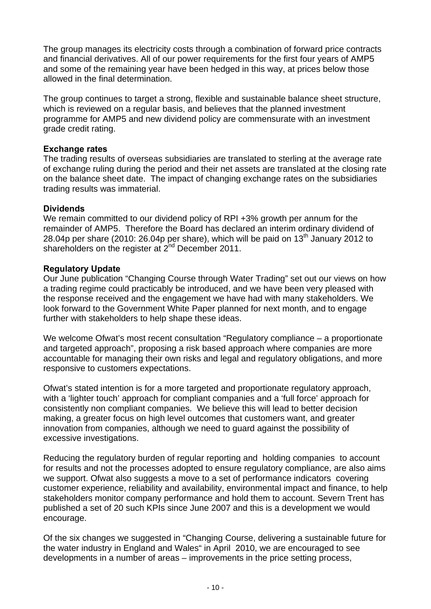The group manages its electricity costs through a combination of forward price contracts and financial derivatives. All of our power requirements for the first four years of AMP5 and some of the remaining year have been hedged in this way, at prices below those allowed in the final determination.

The group continues to target a strong, flexible and sustainable balance sheet structure, which is reviewed on a regular basis, and believes that the planned investment programme for AMP5 and new dividend policy are commensurate with an investment grade credit rating.

## **Exchange rates**

The trading results of overseas subsidiaries are translated to sterling at the average rate of exchange ruling during the period and their net assets are translated at the closing rate on the balance sheet date. The impact of changing exchange rates on the subsidiaries trading results was immaterial.

## **Dividends**

We remain committed to our dividend policy of RPI +3% growth per annum for the remainder of AMP5. Therefore the Board has declared an interim ordinary dividend of 28.04p per share (2010: 26.04p per share), which will be paid on  $13<sup>th</sup>$  January 2012 to shareholders on the register at 2<sup>nd</sup> December 2011.

## **Regulatory Update**

Our June publication "Changing Course through Water Trading" set out our views on how a trading regime could practicably be introduced, and we have been very pleased with the response received and the engagement we have had with many stakeholders. We look forward to the Government White Paper planned for next month, and to engage further with stakeholders to help shape these ideas.

We welcome Ofwat's most recent consultation "Regulatory compliance – a proportionate and targeted approach", proposing a risk based approach where companies are more accountable for managing their own risks and legal and regulatory obligations, and more responsive to customers expectations.

Ofwat's stated intention is for a more targeted and proportionate regulatory approach, with a 'lighter touch' approach for compliant companies and a 'full force' approach for consistently non compliant companies. We believe this will lead to better decision making, a greater focus on high level outcomes that customers want, and greater innovation from companies, although we need to guard against the possibility of excessive investigations.

Reducing the regulatory burden of regular reporting and holding companies to account for results and not the processes adopted to ensure regulatory compliance, are also aims we support. Ofwat also suggests a move to a set of performance indicators covering customer experience, reliability and availability, environmental impact and finance, to help stakeholders monitor company performance and hold them to account. Severn Trent has published a set of 20 such KPIs since June 2007 and this is a development we would encourage.

Of the six changes we suggested in "Changing Course, delivering a sustainable future for the water industry in England and Wales" in April 2010, we are encouraged to see developments in a number of areas – improvements in the price setting process,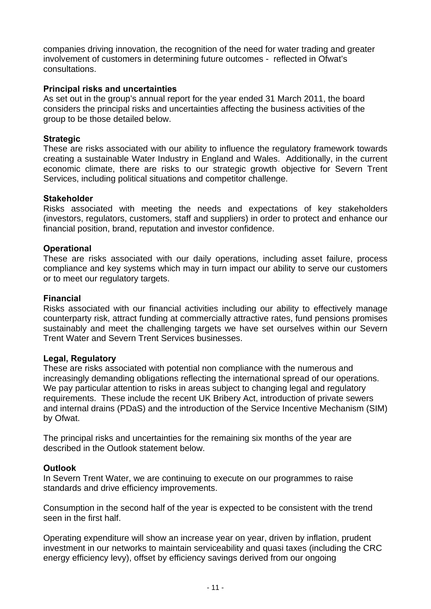companies driving innovation, the recognition of the need for water trading and greater involvement of customers in determining future outcomes - reflected in Ofwat's consultations.

### **Principal risks and uncertainties**

As set out in the group's annual report for the year ended 31 March 2011, the board considers the principal risks and uncertainties affecting the business activities of the group to be those detailed below.

## **Strategic**

These are risks associated with our ability to influence the regulatory framework towards creating a sustainable Water Industry in England and Wales. Additionally, in the current economic climate, there are risks to our strategic growth objective for Severn Trent Services, including political situations and competitor challenge.

## **Stakeholder**

Risks associated with meeting the needs and expectations of key stakeholders (investors, regulators, customers, staff and suppliers) in order to protect and enhance our financial position, brand, reputation and investor confidence.

## **Operational**

These are risks associated with our daily operations, including asset failure, process compliance and key systems which may in turn impact our ability to serve our customers or to meet our regulatory targets.

## **Financial**

Risks associated with our financial activities including our ability to effectively manage counterparty risk, attract funding at commercially attractive rates, fund pensions promises sustainably and meet the challenging targets we have set ourselves within our Severn Trent Water and Severn Trent Services businesses.

## **Legal, Regulatory**

These are risks associated with potential non compliance with the numerous and increasingly demanding obligations reflecting the international spread of our operations. We pay particular attention to risks in areas subject to changing legal and regulatory requirements. These include the recent UK Bribery Act, introduction of private sewers and internal drains (PDaS) and the introduction of the Service Incentive Mechanism (SIM) by Ofwat.

The principal risks and uncertainties for the remaining six months of the year are described in the Outlook statement below.

## **Outlook**

In Severn Trent Water, we are continuing to execute on our programmes to raise standards and drive efficiency improvements.

Consumption in the second half of the year is expected to be consistent with the trend seen in the first half.

Operating expenditure will show an increase year on year, driven by inflation, prudent investment in our networks to maintain serviceability and quasi taxes (including the CRC energy efficiency levy), offset by efficiency savings derived from our ongoing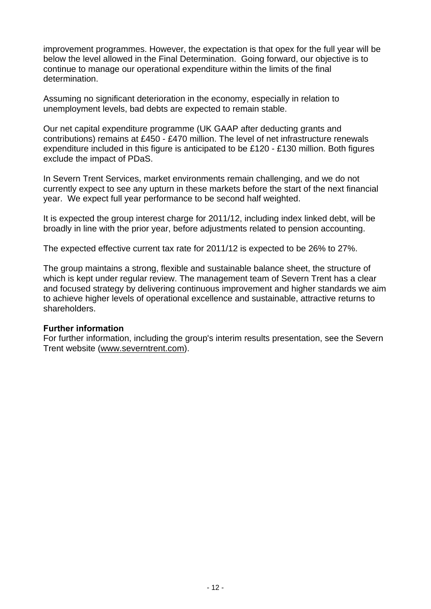improvement programmes. However, the expectation is that opex for the full year will be below the level allowed in the Final Determination. Going forward, our objective is to continue to manage our operational expenditure within the limits of the final determination.

Assuming no significant deterioration in the economy, especially in relation to unemployment levels, bad debts are expected to remain stable.

Our net capital expenditure programme (UK GAAP after deducting grants and contributions) remains at £450 - £470 million. The level of net infrastructure renewals expenditure included in this figure is anticipated to be £120 - £130 million. Both figures exclude the impact of PDaS.

In Severn Trent Services, market environments remain challenging, and we do not currently expect to see any upturn in these markets before the start of the next financial year. We expect full year performance to be second half weighted.

It is expected the group interest charge for 2011/12, including index linked debt, will be broadly in line with the prior year, before adjustments related to pension accounting.

The expected effective current tax rate for 2011/12 is expected to be 26% to 27%.

The group maintains a strong, flexible and sustainable balance sheet, the structure of which is kept under regular review. The management team of Severn Trent has a clear and focused strategy by delivering continuous improvement and higher standards we aim to achieve higher levels of operational excellence and sustainable, attractive returns to shareholders.

## **Further information**

For further information, including the group's interim results presentation, see the Severn Trent website (www.severntrent.com).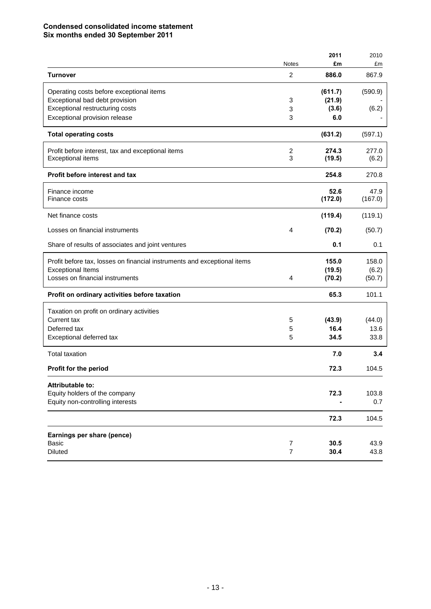### **Condensed consolidated income statement Six months ended 30 September 2011**

|                                                                          | <b>Notes</b>   | 2011<br>£m | 2010        |
|--------------------------------------------------------------------------|----------------|------------|-------------|
| <b>Turnover</b>                                                          | 2              | 886.0      | £m<br>867.9 |
| Operating costs before exceptional items                                 |                | (611.7)    | (590.9)     |
| Exceptional bad debt provision                                           | 3              | (21.9)     |             |
| Exceptional restructuring costs                                          | 3              | (3.6)      | (6.2)       |
| Exceptional provision release                                            | 3              | 6.0        |             |
| <b>Total operating costs</b>                                             |                | (631.2)    | (597.1)     |
| Profit before interest, tax and exceptional items                        | $\overline{c}$ | 274.3      | 277.0       |
| <b>Exceptional items</b>                                                 | 3              | (19.5)     | (6.2)       |
| Profit before interest and tax                                           |                | 254.8      | 270.8       |
| Finance income                                                           |                | 52.6       | 47.9        |
| Finance costs                                                            |                | (172.0)    | (167.0)     |
| Net finance costs                                                        |                | (119.4)    | (119.1)     |
| Losses on financial instruments                                          | 4              | (70.2)     | (50.7)      |
| Share of results of associates and joint ventures                        |                | 0.1        | 0.1         |
| Profit before tax, losses on financial instruments and exceptional items |                | 155.0      | 158.0       |
| <b>Exceptional Items</b>                                                 |                | (19.5)     | (6.2)       |
| Losses on financial instruments                                          | 4              | (70.2)     | (50.7)      |
| Profit on ordinary activities before taxation                            |                | 65.3       | 101.1       |
| Taxation on profit on ordinary activities                                |                |            |             |
| Current tax                                                              | 5              | (43.9)     | (44.0)      |
| Deferred tax                                                             | 5              | 16.4       | 13.6        |
| Exceptional deferred tax                                                 | 5              | 34.5       | 33.8        |
| <b>Total taxation</b>                                                    |                | 7.0        | 3.4         |
| Profit for the period                                                    |                | 72.3       | 104.5       |
| Attributable to:                                                         |                |            |             |
| Equity holders of the company                                            |                | 72.3       | 103.8       |
| Equity non-controlling interests                                         |                |            | 0.7         |
|                                                                          |                | 72.3       | 104.5       |
| Earnings per share (pence)                                               |                |            |             |
| Basic                                                                    | 7              | 30.5       | 43.9        |
| <b>Diluted</b>                                                           | $\overline{7}$ | 30.4       | 43.8        |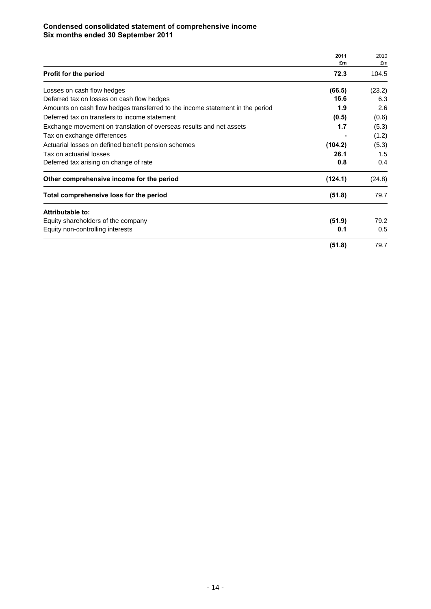#### **Condensed consolidated statement of comprehensive income Six months ended 30 September 2011**

|                                                                               | 2011<br>£m | 2010<br>£m |
|-------------------------------------------------------------------------------|------------|------------|
| Profit for the period                                                         | 72.3       | 104.5      |
| Losses on cash flow hedges                                                    | (66.5)     | (23.2)     |
| Deferred tax on losses on cash flow hedges                                    | 16.6       | 6.3        |
| Amounts on cash flow hedges transferred to the income statement in the period | 1.9        | 2.6        |
| Deferred tax on transfers to income statement                                 | (0.5)      | (0.6)      |
| Exchange movement on translation of overseas results and net assets           | 1.7        | (5.3)      |
| Tax on exchange differences                                                   |            | (1.2)      |
| Actuarial losses on defined benefit pension schemes                           | (104.2)    | (5.3)      |
| Tax on actuarial losses                                                       | 26.1       | 1.5        |
| Deferred tax arising on change of rate                                        | 0.8        | 0.4        |
| Other comprehensive income for the period                                     | (124.1)    | (24.8)     |
| Total comprehensive loss for the period                                       | (51.8)     | 79.7       |
| Attributable to:                                                              |            |            |
| Equity shareholders of the company                                            | (51.9)     | 79.2       |
| Equity non-controlling interests                                              | 0.1        | 0.5        |
|                                                                               | (51.8)     | 79.7       |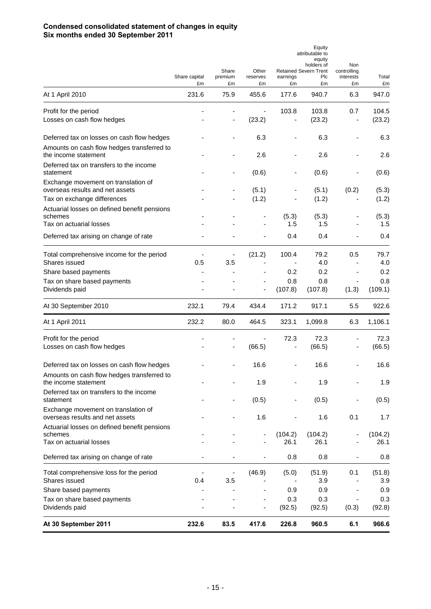#### **Condensed consolidated statement of changes in equity Six months ended 30 September 2011**

|                                                                        |                     | Share                           | Other                        |                              | Equity<br>attributable to<br>equity<br>holders of<br><b>Retained Severn Trent</b> | Non<br>controlling       |                 |
|------------------------------------------------------------------------|---------------------|---------------------------------|------------------------------|------------------------------|-----------------------------------------------------------------------------------|--------------------------|-----------------|
|                                                                        | Share capital<br>£m | premium<br>£m                   | reserves<br>£m               | earnings<br>£m               | Plc<br>£m                                                                         | interests<br>£m          | Total<br>£m     |
| At 1 April 2010                                                        | 231.6               | 75.9                            | 455.6                        | 177.6                        | 940.7                                                                             | 6.3                      | 947.0           |
| Profit for the period<br>Losses on cash flow hedges                    |                     |                                 | (23.2)                       | 103.8                        | 103.8<br>(23.2)                                                                   | 0.7                      | 104.5<br>(23.2) |
| Deferred tax on losses on cash flow hedges                             |                     |                                 | 6.3                          |                              | 6.3                                                                               |                          | 6.3             |
| Amounts on cash flow hedges transferred to<br>the income statement     |                     |                                 | 2.6                          |                              | 2.6                                                                               |                          | 2.6             |
| Deferred tax on transfers to the income<br>statement                   |                     |                                 | (0.6)                        |                              | (0.6)                                                                             |                          | (0.6)           |
| Exchange movement on translation of<br>overseas results and net assets |                     |                                 | (5.1)                        |                              | (5.1)                                                                             | (0.2)                    | (5.3)           |
| Tax on exchange differences                                            |                     |                                 | (1.2)                        |                              | (1.2)                                                                             |                          | (1.2)           |
| Actuarial losses on defined benefit pensions                           |                     |                                 |                              |                              |                                                                                   |                          |                 |
| schemes<br>Tax on actuarial losses                                     |                     |                                 |                              | (5.3)<br>1.5                 | (5.3)<br>1.5                                                                      |                          | (5.3)<br>1.5    |
| Deferred tax arising on change of rate                                 |                     |                                 |                              | 0.4                          | 0.4                                                                               |                          | 0.4             |
| Total comprehensive income for the period                              |                     |                                 | (21.2)                       | 100.4                        | 79.2                                                                              | 0.5                      | 79.7            |
| Shares issued                                                          | 0.5                 | 3.5                             |                              | $\blacksquare$               | 4.0                                                                               |                          | 4.0             |
| Share based payments                                                   |                     |                                 |                              | 0.2                          | 0.2                                                                               |                          | 0.2             |
| Tax on share based payments<br>Dividends paid                          |                     |                                 |                              | 0.8<br>(107.8)               | 0.8<br>(107.8)                                                                    | $\overline{a}$<br>(1.3)  | 0.8<br>(109.1)  |
| At 30 September 2010                                                   | 232.1               | 79.4                            | 434.4                        | 171.2                        | 917.1                                                                             | 5.5                      | 922.6           |
| At 1 April 2011                                                        | 232.2               | 80.0                            | 464.5                        | 323.1                        | 1,099.8                                                                           | 6.3                      | 1,106.1         |
| Profit for the period                                                  |                     |                                 |                              | 72.3                         | 72.3                                                                              |                          | 72.3            |
| Losses on cash flow hedges                                             |                     |                                 | (66.5)                       | $\overline{\phantom{a}}$     | (66.5)                                                                            |                          | (66.5)          |
| Deferred tax on losses on cash flow hedges                             |                     |                                 | 16.6                         | ٠                            | 16.6                                                                              | ٠                        | 16.6            |
| Amounts on cash flow hedges transferred to<br>the income statement     |                     |                                 | 1.9                          |                              | 1.9                                                                               |                          | 1.9             |
| Deferred tax on transfers to the income<br>statement                   |                     | $\blacksquare$                  | (0.5)                        | $\qquad \qquad \blacksquare$ | (0.5)                                                                             | $\overline{a}$           | (0.5)           |
| Exchange movement on translation of<br>overseas results and net assets |                     | $\blacksquare$                  | 1.6                          | $\overline{\phantom{a}}$     | 1.6                                                                               | 0.1                      | 1.7             |
| Actuarial losses on defined benefit pensions                           |                     |                                 |                              |                              |                                                                                   |                          |                 |
| schemes<br>Tax on actuarial losses                                     |                     |                                 |                              | (104.2)<br>26.1              | (104.2)<br>26.1                                                                   |                          | (104.2)<br>26.1 |
| Deferred tax arising on change of rate                                 |                     |                                 | ٠                            | 0.8                          | 0.8                                                                               |                          | 0.8             |
| Total comprehensive loss for the period<br>Shares issued               | 0.4                 | $\overline{\phantom{a}}$<br>3.5 | (46.9)                       | (5.0)                        | (51.9)<br>3.9                                                                     | 0.1                      | (51.8)<br>3.9   |
| Share based payments                                                   |                     |                                 | $\overline{\phantom{a}}$     | 0.9                          | 0.9                                                                               |                          | 0.9             |
| Tax on share based payments                                            |                     |                                 | $\qquad \qquad \blacksquare$ | 0.3                          | 0.3                                                                               | $\overline{\phantom{a}}$ | 0.3             |
| Dividends paid                                                         |                     |                                 | ۰                            | (92.5)                       | (92.5)                                                                            | (0.3)                    | (92.8)          |
| At 30 September 2011                                                   | 232.6               | 83.5                            | 417.6                        | 226.8                        | 960.5                                                                             | 6.1                      | 966.6           |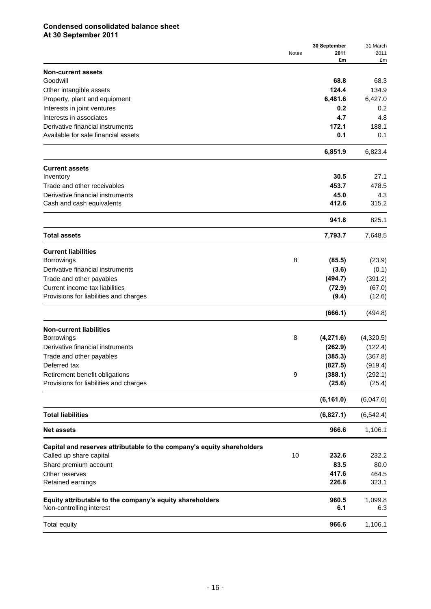#### **Condensed consolidated balance sheet At 30 September 2011**

|                                                                        |              | 30 September | 31 March   |
|------------------------------------------------------------------------|--------------|--------------|------------|
|                                                                        | <b>Notes</b> | 2011         | 2011       |
|                                                                        |              | £m           | £m         |
| <b>Non-current assets</b>                                              |              |              |            |
| Goodwill                                                               |              | 68.8         | 68.3       |
| Other intangible assets                                                |              | 124.4        | 134.9      |
| Property, plant and equipment                                          |              | 6,481.6      | 6,427.0    |
| Interests in joint ventures                                            |              | 0.2          | 0.2        |
| Interests in associates                                                |              | 4.7          | 4.8        |
| Derivative financial instruments                                       |              | 172.1        | 188.1      |
| Available for sale financial assets                                    |              | 0.1          | 0.1        |
|                                                                        |              | 6,851.9      | 6,823.4    |
| <b>Current assets</b>                                                  |              |              |            |
| Inventory                                                              |              | 30.5         | 27.1       |
| Trade and other receivables                                            |              | 453.7        | 478.5      |
| Derivative financial instruments                                       |              | 45.0         | 4.3        |
| Cash and cash equivalents                                              |              | 412.6        | 315.2      |
|                                                                        |              | 941.8        | 825.1      |
| <b>Total assets</b>                                                    |              | 7,793.7      | 7,648.5    |
| <b>Current liabilities</b>                                             |              |              |            |
| <b>Borrowings</b>                                                      | 8            | (85.5)       |            |
|                                                                        |              |              | (23.9)     |
| Derivative financial instruments                                       |              | (3.6)        | (0.1)      |
| Trade and other payables                                               |              | (494.7)      | (391.2)    |
| Current income tax liabilities                                         |              | (72.9)       | (67.0)     |
| Provisions for liabilities and charges                                 |              | (9.4)        | (12.6)     |
|                                                                        |              | (666.1)      | (494.8)    |
| <b>Non-current liabilities</b>                                         |              |              |            |
| <b>Borrowings</b>                                                      | 8            | (4, 271.6)   | (4,320.5)  |
| Derivative financial instruments                                       |              | (262.9)      | (122.4)    |
| Trade and other payables                                               |              | (385.3)      | (367.8)    |
| Deferred tax                                                           |              | (827.5)      | (919.4)    |
| Retirement benefit obligations                                         | 9            | (388.1)      | (292.1)    |
| Provisions for liabilities and charges                                 |              | (25.6)       | (25.4)     |
|                                                                        |              | (6, 161.0)   | (6,047.6)  |
| <b>Total liabilities</b>                                               |              | (6,827.1)    | (6, 542.4) |
| <b>Net assets</b>                                                      |              | 966.6        | 1,106.1    |
| Capital and reserves attributable to the company's equity shareholders |              |              |            |
| Called up share capital                                                | 10           | 232.6        | 232.2      |
| Share premium account                                                  |              | 83.5         | 80.0       |
| Other reserves                                                         |              | 417.6        | 464.5      |
| Retained earnings                                                      |              | 226.8        | 323.1      |
| Equity attributable to the company's equity shareholders               |              | 960.5        | 1,099.8    |
| Non-controlling interest                                               |              | 6.1          | 6.3        |
| Total equity                                                           |              | 966.6        | 1,106.1    |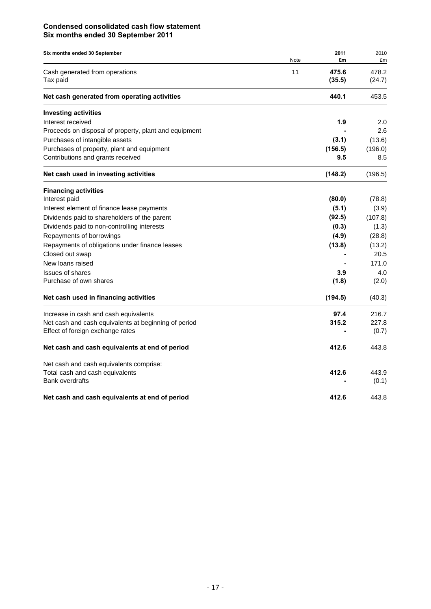### **Condensed consolidated cash flow statement Six months ended 30 September 2011**

| Six months ended 30 September                         |      | 2011    | 2010    |
|-------------------------------------------------------|------|---------|---------|
|                                                       | Note | £m      | £m      |
| Cash generated from operations                        | 11   | 475.6   | 478.2   |
| Tax paid                                              |      | (35.5)  | (24.7)  |
| Net cash generated from operating activities          |      | 440.1   | 453.5   |
| <b>Investing activities</b>                           |      |         |         |
| Interest received                                     |      | 1.9     | 2.0     |
| Proceeds on disposal of property, plant and equipment |      |         | 2.6     |
| Purchases of intangible assets                        |      | (3.1)   | (13.6)  |
| Purchases of property, plant and equipment            |      | (156.5) | (196.0) |
| Contributions and grants received                     |      | 9.5     | 8.5     |
| Net cash used in investing activities                 |      | (148.2) | (196.5) |
| <b>Financing activities</b>                           |      |         |         |
| Interest paid                                         |      | (80.0)  | (78.8)  |
| Interest element of finance lease payments            |      | (5.1)   | (3.9)   |
| Dividends paid to shareholders of the parent          |      | (92.5)  | (107.8) |
| Dividends paid to non-controlling interests           |      | (0.3)   | (1.3)   |
| Repayments of borrowings                              |      | (4.9)   | (28.8)  |
| Repayments of obligations under finance leases        |      | (13.8)  | (13.2)  |
| Closed out swap                                       |      |         | 20.5    |
| New loans raised                                      |      |         | 171.0   |
| <b>Issues of shares</b>                               |      | 3.9     | 4.0     |
| Purchase of own shares                                |      | (1.8)   | (2.0)   |
| Net cash used in financing activities                 |      | (194.5) | (40.3)  |
| Increase in cash and cash equivalents                 |      | 97.4    | 216.7   |
| Net cash and cash equivalents at beginning of period  |      | 315.2   | 227.8   |
| Effect of foreign exchange rates                      |      |         | (0.7)   |
| Net cash and cash equivalents at end of period        |      | 412.6   | 443.8   |
| Net cash and cash equivalents comprise:               |      |         |         |
| Total cash and cash equivalents                       |      | 412.6   | 443.9   |
| <b>Bank overdrafts</b>                                |      |         | (0.1)   |
| Net cash and cash equivalents at end of period        |      | 412.6   | 443.8   |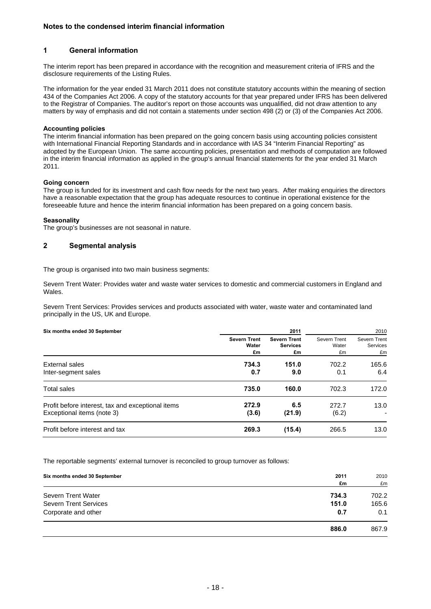### **1 General information**

The interim report has been prepared in accordance with the recognition and measurement criteria of IFRS and the disclosure requirements of the Listing Rules.

The information for the year ended 31 March 2011 does not constitute statutory accounts within the meaning of section 434 of the Companies Act 2006. A copy of the statutory accounts for that year prepared under IFRS has been delivered to the Registrar of Companies. The auditor's report on those accounts was unqualified, did not draw attention to any matters by way of emphasis and did not contain a statements under section 498 (2) or (3) of the Companies Act 2006.

#### **Accounting policies**

The interim financial information has been prepared on the going concern basis using accounting policies consistent with International Financial Reporting Standards and in accordance with IAS 34 "Interim Financial Reporting" as adopted by the European Union. The same accounting policies, presentation and methods of computation are followed in the interim financial information as applied in the group's annual financial statements for the year ended 31 March 2011.

#### **Going concern**

The group is funded for its investment and cash flow needs for the next two years. After making enquiries the directors have a reasonable expectation that the group has adequate resources to continue in operational existence for the foreseeable future and hence the interim financial information has been prepared on a going concern basis.

#### **Seasonality**

The group's businesses are not seasonal in nature.

### **2 Segmental analysis**

The group is organised into two main business segments:

Severn Trent Water: Provides water and waste water services to domestic and commercial customers in England and Wales.

Severn Trent Services: Provides services and products associated with water, waste water and contaminated land principally in the US, UK and Europe.

| Six months ended 30 September                     |                              | 2011                                   | 2010                  |                          |  |
|---------------------------------------------------|------------------------------|----------------------------------------|-----------------------|--------------------------|--|
|                                                   | <b>Severn Trent</b><br>Water | <b>Severn Trent</b><br><b>Services</b> | Severn Trent<br>Water | Severn Trent<br>Services |  |
|                                                   | £m                           | £m                                     | £m                    | £m                       |  |
| External sales                                    | 734.3                        | 151.0                                  | 702.2                 | 165.6                    |  |
| Inter-segment sales                               | 0.7                          | 9.0                                    | 0.1                   | 6.4                      |  |
| Total sales                                       | 735.0                        | 160.0                                  | 702.3                 | 172.0                    |  |
| Profit before interest, tax and exceptional items | 272.9                        | 6.5                                    | 272.7                 | 13.0                     |  |
| Exceptional items (note 3)                        | (3.6)                        | (21.9)                                 | (6.2)                 |                          |  |
| Profit before interest and tax                    | 269.3                        | (15.4)                                 | 266.5                 | 13.0                     |  |

The reportable segments' external turnover is reconciled to group turnover as follows:

| Six months ended 30 September | 2011<br>£m | 2010<br>£m |
|-------------------------------|------------|------------|
| Severn Trent Water            | 734.3      | 702.2      |
| <b>Severn Trent Services</b>  | 151.0      | 165.6      |
| Corporate and other           | 0.7        | 0.1        |
|                               | 886.0      | 867.9      |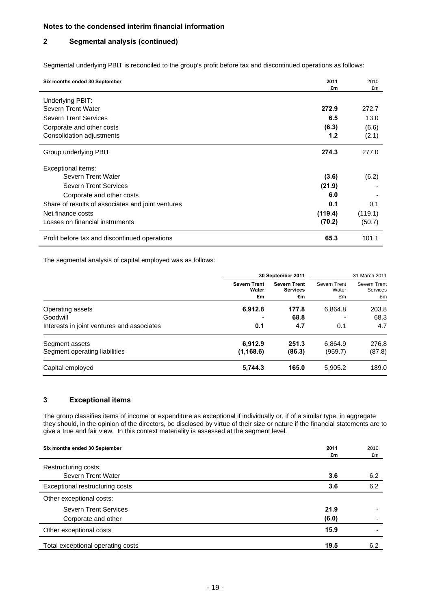### **2 Segmental analysis (continued)**

Segmental underlying PBIT is reconciled to the group's profit before tax and discontinued operations as follows:

| Six months ended 30 September                     | 2011<br>£m | 2010<br>£m |
|---------------------------------------------------|------------|------------|
| Underlying PBIT:                                  |            |            |
| Severn Trent Water                                | 272.9      | 272.7      |
| <b>Severn Trent Services</b>                      | 6.5        | 13.0       |
| Corporate and other costs                         | (6.3)      | (6.6)      |
| Consolidation adjustments                         | 1.2        | (2.1)      |
| Group underlying PBIT                             | 274.3      | 277.0      |
| Exceptional items:                                |            |            |
| Severn Trent Water                                | (3.6)      | (6.2)      |
| <b>Severn Trent Services</b>                      | (21.9)     |            |
| Corporate and other costs                         | 6.0        |            |
| Share of results of associates and joint ventures | 0.1        | 0.1        |
| Net finance costs                                 | (119.4)    | (119.1)    |
| Losses on financial instruments                   | (70.2)     | (50.7)     |
| Profit before tax and discontinued operations     | 65.3       | 101.1      |

The segmental analysis of capital employed was as follows:

|                                                 | 30 September 2011            |                                        |                       | 31 March 2011                   |
|-------------------------------------------------|------------------------------|----------------------------------------|-----------------------|---------------------------------|
|                                                 | <b>Severn Trent</b><br>Water | <b>Severn Trent</b><br><b>Services</b> | Severn Trent<br>Water | Severn Trent<br><b>Services</b> |
|                                                 | £m                           | £m                                     | £m                    | £m                              |
| Operating assets                                | 6,912.8                      | 177.8                                  | 6,864.8               | 203.8                           |
| Goodwill                                        |                              | 68.8                                   |                       | 68.3                            |
| Interests in joint ventures and associates      | 0.1                          | 4.7                                    | 0.1                   | 4.7                             |
| Segment assets<br>Segment operating liabilities | 6.912.9<br>(1, 168.6)        | 251.3<br>(86.3)                        | 6.864.9<br>(959.7)    | 276.8<br>(87.8)                 |
| Capital employed                                | 5,744.3                      | 165.0                                  | 5,905.2               | 189.0                           |

### **3 Exceptional items**

The group classifies items of income or expenditure as exceptional if individually or, if of a similar type, in aggregate they should, in the opinion of the directors, be disclosed by virtue of their size or nature if the financial statements are to give a true and fair view. In this context materiality is assessed at the segment level.

| Six months ended 30 September     | 2011  | 2010 |
|-----------------------------------|-------|------|
|                                   | £m    | £m   |
| Restructuring costs:              |       |      |
| Severn Trent Water                | 3.6   | 6.2  |
| Exceptional restructuring costs   | 3.6   | 6.2  |
| Other exceptional costs:          |       |      |
| <b>Severn Trent Services</b>      | 21.9  | -    |
| Corporate and other               | (6.0) | -    |
| Other exceptional costs           | 15.9  |      |
| Total exceptional operating costs | 19.5  | 6.2  |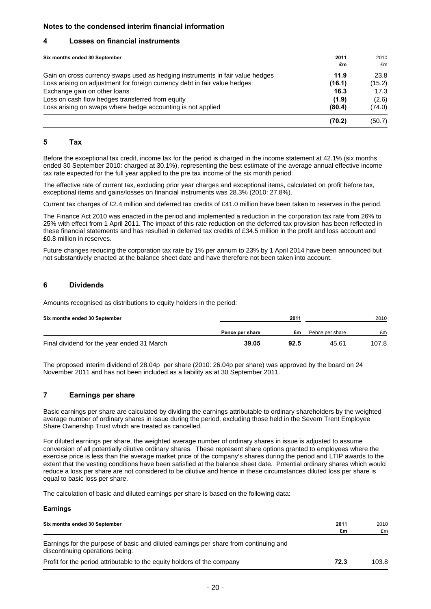### **4 Losses on financial instruments**

| Six months ended 30 September                                                 | 2011<br>£m | 2010<br>£m |
|-------------------------------------------------------------------------------|------------|------------|
| Gain on cross currency swaps used as hedging instruments in fair value hedges | 11.9       | 23.8       |
| Loss arising on adjustment for foreign currency debt in fair value hedges     | (16.1)     | (15.2)     |
| Exchange gain on other loans                                                  | 16.3       | 17.3       |
| Loss on cash flow hedges transferred from equity                              | (1.9)      | (2.6)      |
| Loss arising on swaps where hedge accounting is not applied                   | (80.4)     | (74.0)     |
|                                                                               | (70.2)     | (50.7)     |

#### **5 Tax**

Before the exceptional tax credit, income tax for the period is charged in the income statement at 42.1% (six months ended 30 September 2010: charged at 30.1%), representing the best estimate of the average annual effective income tax rate expected for the full year applied to the pre tax income of the six month period.

The effective rate of current tax, excluding prior year charges and exceptional items, calculated on profit before tax, exceptional items and gains/losses on financial instruments was 28.3% (2010: 27.8%).

Current tax charges of £2.4 million and deferred tax credits of £41.0 million have been taken to reserves in the period.

The Finance Act 2010 was enacted in the period and implemented a reduction in the corporation tax rate from 26% to 25% with effect from 1 April 2011. The impact of this rate reduction on the deferred tax provision has been reflected in these financial statements and has resulted in deferred tax credits of £34.5 million in the profit and loss account and £0.8 million in reserves.

Future changes reducing the corporation tax rate by 1% per annum to 23% by 1 April 2014 have been announced but not substantively enacted at the balance sheet date and have therefore not been taken into account.

#### **6 Dividends**

Amounts recognised as distributions to equity holders in the period:

| Six months ended 30 September              | 2011            |      |                 | 2010  |
|--------------------------------------------|-----------------|------|-----------------|-------|
|                                            | Pence per share | £m   | Pence per share | £m    |
| Final dividend for the year ended 31 March | 39.05           | 92.5 | 45.61           | 107.8 |

The proposed interim dividend of 28.04p per share (2010: 26.04p per share) was approved by the board on 24 November 2011 and has not been included as a liability as at 30 September 2011.

### **7 Earnings per share**

Basic earnings per share are calculated by dividing the earnings attributable to ordinary shareholders by the weighted average number of ordinary shares in issue during the period, excluding those held in the Severn Trent Employee Share Ownership Trust which are treated as cancelled.

For diluted earnings per share, the weighted average number of ordinary shares in issue is adjusted to assume conversion of all potentially dilutive ordinary shares. These represent share options granted to employees where the exercise price is less than the average market price of the company's shares during the period and LTIP awards to the extent that the vesting conditions have been satisfied at the balance sheet date. Potential ordinary shares which would reduce a loss per share are not considered to be dilutive and hence in these circumstances diluted loss per share is equal to basic loss per share.

The calculation of basic and diluted earnings per share is based on the following data:

#### **Earnings**

| Six months ended 30 September                                                                                           | 2011<br>£m | 2010<br>£m |
|-------------------------------------------------------------------------------------------------------------------------|------------|------------|
| Earnings for the purpose of basic and diluted earnings per share from continuing and<br>discontinuing operations being: |            |            |
| Profit for the period attributable to the equity holders of the company                                                 | 72.3       | 103.8      |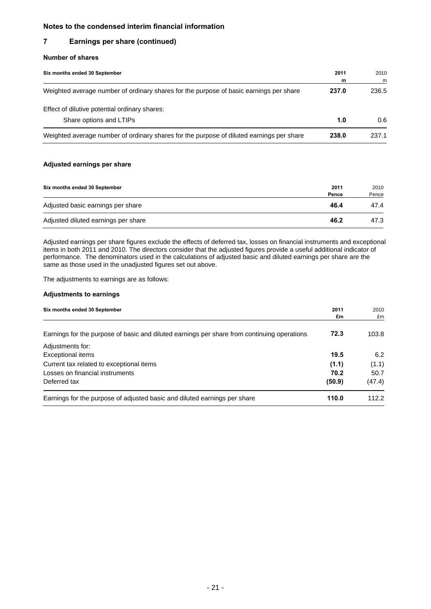### **7 Earnings per share (continued)**

#### **Number of shares**

| Six months ended 30 September                                                            | 2011  | 2010  |
|------------------------------------------------------------------------------------------|-------|-------|
|                                                                                          | m     | m     |
| Weighted average number of ordinary shares for the purpose of basic earnings per share   | 237.0 | 236.5 |
| Effect of dilutive potential ordinary shares:                                            |       |       |
| Share options and LTIPs                                                                  | 1.0   | 0.6   |
| Weighted average number of ordinary shares for the purpose of diluted earnings per share | 238.0 | 237.1 |

#### **Adjusted earnings per share**

| Six months ended 30 September       | 2011<br>Pence | 2010<br>Pence |
|-------------------------------------|---------------|---------------|
| Adjusted basic earnings per share   | 46.4          | 47.4          |
| Adjusted diluted earnings per share | 46.2          | 47.3          |

Adjusted earnings per share figures exclude the effects of deferred tax, losses on financial instruments and exceptional items in both 2011 and 2010. The directors consider that the adjusted figures provide a useful additional indicator of performance. The denominators used in the calculations of adjusted basic and diluted earnings per share are the same as those used in the unadjusted figures set out above.

The adjustments to earnings are as follows:

#### **Adjustments to earnings**

| Six months ended 30 September                                                               |        | 2010<br>£m |
|---------------------------------------------------------------------------------------------|--------|------------|
| Earnings for the purpose of basic and diluted earnings per share from continuing operations | 72.3   | 103.8      |
| Adjustments for:                                                                            |        |            |
| <b>Exceptional items</b>                                                                    | 19.5   | 6.2        |
| Current tax related to exceptional items                                                    | (1.1)  | (1.1)      |
| Losses on financial instruments                                                             | 70.2   | 50.7       |
| Deferred tax                                                                                | (50.9) | (47.4)     |
| Earnings for the purpose of adjusted basic and diluted earnings per share                   | 110.0  | 112.2      |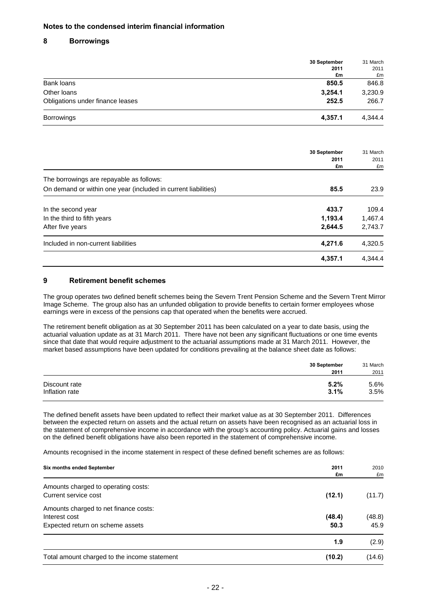### **8 Borrowings**

|                                  | 30 September<br>2011<br>£m | 31 March<br>2011<br>£m |
|----------------------------------|----------------------------|------------------------|
| Bank loans                       | 850.5                      | 846.8                  |
| Other loans                      | 3,254.1                    | 3,230.9                |
| Obligations under finance leases | 252.5                      | 266.7                  |
| Borrowings                       | 4,357.1                    | 4,344.4                |

|                                                                | 30 September | 31 March |
|----------------------------------------------------------------|--------------|----------|
|                                                                | 2011         | 2011     |
|                                                                | £m           | £m       |
| The borrowings are repayable as follows:                       |              |          |
| On demand or within one year (included in current liabilities) | 85.5         | 23.9     |
| In the second year                                             | 433.7        | 109.4    |
| In the third to fifth years                                    | 1,193.4      | 1,467.4  |
| After five years                                               | 2,644.5      | 2,743.7  |
| Included in non-current liabilities                            | 4,271.6      | 4,320.5  |
|                                                                | 4,357.1      | 4,344.4  |

### **9 Retirement benefit schemes**

The group operates two defined benefit schemes being the Severn Trent Pension Scheme and the Severn Trent Mirror Image Scheme. The group also has an unfunded obligation to provide benefits to certain former employees whose earnings were in excess of the pensions cap that operated when the benefits were accrued.

The retirement benefit obligation as at 30 September 2011 has been calculated on a year to date basis, using the actuarial valuation update as at 31 March 2011. There have not been any significant fluctuations or one time events since that date that would require adjustment to the actuarial assumptions made at 31 March 2011. However, the market based assumptions have been updated for conditions prevailing at the balance sheet date as follows:

|                                 | 30 September |              |
|---------------------------------|--------------|--------------|
|                                 | 2011         | 2011         |
| Discount rate<br>Inflation rate | 5.2%<br>3.1% | 5.6%<br>3.5% |

The defined benefit assets have been updated to reflect their market value as at 30 September 2011. Differences between the expected return on assets and the actual return on assets have been recognised as an actuarial loss in the statement of comprehensive income in accordance with the group's accounting policy. Actuarial gains and losses on the defined benefit obligations have also been reported in the statement of comprehensive income.

Amounts recognised in the income statement in respect of these defined benefit schemes are as follows:

| <b>Six months ended September</b>            | 2011   | 2010   |
|----------------------------------------------|--------|--------|
|                                              | £m     | £m     |
| Amounts charged to operating costs:          |        |        |
| Current service cost                         | (12.1) | (11.7) |
| Amounts charged to net finance costs:        |        |        |
| Interest cost                                | (48.4) | (48.8) |
| Expected return on scheme assets             | 50.3   | 45.9   |
|                                              | 1.9    | (2.9)  |
| Total amount charged to the income statement | (10.2) | (14.6) |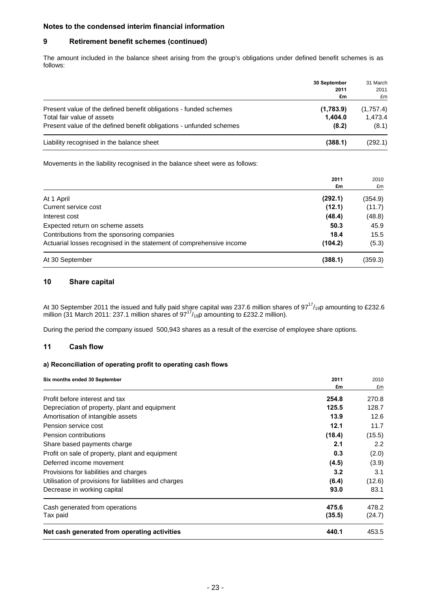### **9 Retirement benefit schemes (continued)**

The amount included in the balance sheet arising from the group's obligations under defined benefit schemes is as follows:

|                                                                     | 30 September<br>2011<br>£m | 31 March<br>2011<br>£m |
|---------------------------------------------------------------------|----------------------------|------------------------|
| Present value of the defined benefit obligations - funded schemes   | (1,783.9)                  | (1,757.4)              |
| Total fair value of assets                                          | 1.404.0                    | 1,473.4                |
| Present value of the defined benefit obligations - unfunded schemes | (8.2)                      | (8.1)                  |
| Liability recognised in the balance sheet                           | (388.1)                    | (292.1)                |

Movements in the liability recognised in the balance sheet were as follows:

|                                                                      | 2011    | 2010    |  |
|----------------------------------------------------------------------|---------|---------|--|
|                                                                      | £m      | £m      |  |
| At 1 April                                                           | (292.1) | (354.9) |  |
| Current service cost                                                 | (12.1)  | (11.7)  |  |
| Interest cost                                                        | (48.4)  | (48.8)  |  |
| Expected return on scheme assets                                     | 50.3    | 45.9    |  |
| Contributions from the sponsoring companies                          | 18.4    | 15.5    |  |
| Actuarial losses recognised in the statement of comprehensive income | (104.2) | (5.3)   |  |
| At 30 September                                                      | (388.1) | (359.3) |  |

### **10 Share capital**

At 30 September 2011 the issued and fully paid share capital was 237.6 million shares of  $97^{17}/_{19}$ p amounting to £232.6 million (31 March 2011: 237.1 million shares of  $97^{17}/_{19}$ p amounting to £232.2 million).

During the period the company issued 500,943 shares as a result of the exercise of employee share options.

#### **11 Cash flow**

### **a) Reconciliation of operating profit to operating cash flows**

| Six months ended 30 September                         | 2011   | 2010   |
|-------------------------------------------------------|--------|--------|
|                                                       | £m     | £m     |
| Profit before interest and tax                        | 254.8  | 270.8  |
| Depreciation of property, plant and equipment         | 125.5  | 128.7  |
| Amortisation of intangible assets                     | 13.9   | 12.6   |
| Pension service cost                                  | 12.1   | 11.7   |
| Pension contributions                                 | (18.4) | (15.5) |
| Share based payments charge                           | 2.1    | 2.2    |
| Profit on sale of property, plant and equipment       | 0.3    | (2.0)  |
| Deferred income movement                              | (4.5)  | (3.9)  |
| Provisions for liabilities and charges                | 3.2    | 3.1    |
| Utilisation of provisions for liabilities and charges | (6.4)  | (12.6) |
| Decrease in working capital                           | 93.0   | 83.1   |
| Cash generated from operations                        | 475.6  | 478.2  |
| Tax paid                                              | (35.5) | (24.7) |
| Net cash generated from operating activities          | 440.1  | 453.5  |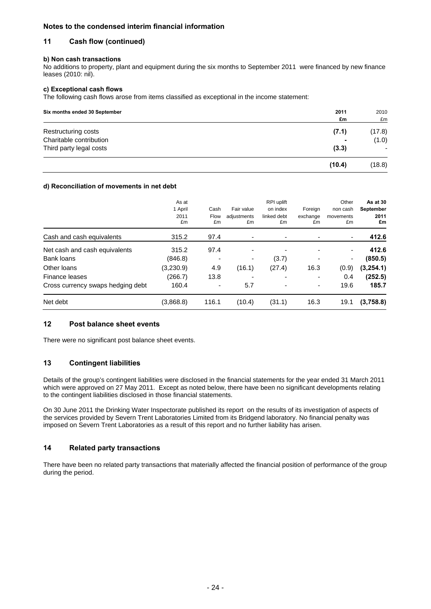### **11 Cash flow (continued)**

#### **b) Non cash transactions**

No additions to property, plant and equipment during the six months to September 2011 were financed by new finance leases (2010: nil).

#### **c) Exceptional cash flows**

The following cash flows arose from items classified as exceptional in the income statement:

| Six months ended 30 September | 2011<br>£m | 2010<br>£m     |
|-------------------------------|------------|----------------|
| Restructuring costs           | (7.1)      | (17.8)         |
| Charitable contribution       | ٠          | (1.0)          |
| Third party legal costs       | (3.3)      | $\blacksquare$ |
|                               | (10.4)     | (18.8)         |

#### **d) Reconciliation of movements in net debt**

|                                   | As at<br>1 April<br>2011<br>£m | Cash<br>Flow<br>£m       | Fair value<br>adjustments<br>£m | RPI uplift<br>on index<br>linked debt<br>£m | Foreign<br>exchange<br>£m | Other<br>non cash<br>movements<br>£m | As at 30<br>September<br>2011<br>£m |
|-----------------------------------|--------------------------------|--------------------------|---------------------------------|---------------------------------------------|---------------------------|--------------------------------------|-------------------------------------|
| Cash and cash equivalents         | 315.2                          | 97.4                     | -                               |                                             |                           |                                      | 412.6                               |
| Net cash and cash equivalents     | 315.2                          | 97.4                     | ۰                               |                                             |                           |                                      | 412.6                               |
| Bank loans                        | (846.8)                        | $\overline{\phantom{a}}$ | $\overline{\phantom{a}}$        | (3.7)                                       |                           | ٠                                    | (850.5)                             |
| Other loans                       | (3,230.9)                      | 4.9                      | (16.1)                          | (27.4)                                      | 16.3                      | (0.9)                                | (3,254.1)                           |
| Finance leases                    | (266.7)                        | 13.8                     |                                 | $\overline{\phantom{0}}$                    |                           | 0.4                                  | (252.5)                             |
| Cross currency swaps hedging debt | 160.4                          | ٠                        | 5.7                             | ۰                                           | ۰.                        | 19.6                                 | 185.7                               |
| Net debt                          | (3,868.8)                      | 116.1                    | (10.4)                          | (31.1)                                      | 16.3                      | 19.1                                 | (3,758.8)                           |

### **12 Post balance sheet events**

There were no significant post balance sheet events.

### **13 Contingent liabilities**

Details of the group's contingent liabilities were disclosed in the financial statements for the year ended 31 March 2011 which were approved on 27 May 2011. Except as noted below, there have been no significant developments relating to the contingent liabilities disclosed in those financial statements.

On 30 June 2011 the Drinking Water Inspectorate published its report on the results of its investigation of aspects of the services provided by Severn Trent Laboratories Limited from its Bridgend laboratory. No financial penalty was imposed on Severn Trent Laboratories as a result of this report and no further liability has arisen.

### **14 Related party transactions**

There have been no related party transactions that materially affected the financial position of performance of the group during the period.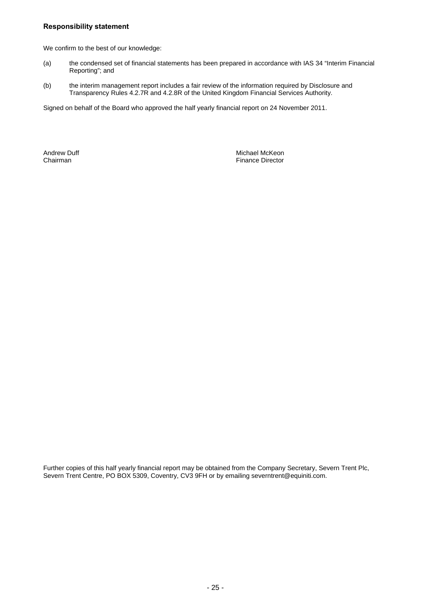#### **Responsibility statement**

We confirm to the best of our knowledge:

- (a) the condensed set of financial statements has been prepared in accordance with IAS 34 "Interim Financial Reporting"; and
- (b) the interim management report includes a fair review of the information required by Disclosure and Transparency Rules 4.2.7R and 4.2.8R of the United Kingdom Financial Services Authority.

Signed on behalf of the Board who approved the half yearly financial report on 24 November 2011.

Andrew Duff **Michael McKeon Chairman Finance Director Finance Director** 

Further copies of this half yearly financial report may be obtained from the Company Secretary, Severn Trent Plc, Severn Trent Centre, PO BOX 5309, Coventry, CV3 9FH or by emailing severntrent@equiniti.com.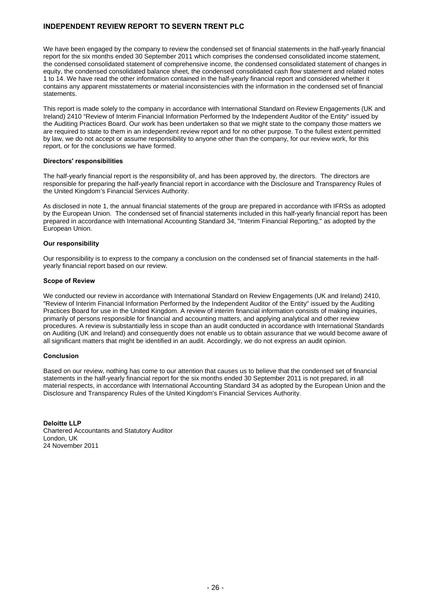### **INDEPENDENT REVIEW REPORT TO SEVERN TRENT PLC**

We have been engaged by the company to review the condensed set of financial statements in the half-yearly financial report for the six months ended 30 September 2011 which comprises the condensed consolidated income statement, the condensed consolidated statement of comprehensive income, the condensed consolidated statement of changes in equity, the condensed consolidated balance sheet, the condensed consolidated cash flow statement and related notes 1 to 14. We have read the other information contained in the half-yearly financial report and considered whether it contains any apparent misstatements or material inconsistencies with the information in the condensed set of financial statements.

This report is made solely to the company in accordance with International Standard on Review Engagements (UK and Ireland) 2410 "Review of Interim Financial Information Performed by the Independent Auditor of the Entity" issued by the Auditing Practices Board. Our work has been undertaken so that we might state to the company those matters we are required to state to them in an independent review report and for no other purpose. To the fullest extent permitted by law, we do not accept or assume responsibility to anyone other than the company, for our review work, for this report, or for the conclusions we have formed.

#### **Directors' responsibilities**

The half-yearly financial report is the responsibility of, and has been approved by, the directors. The directors are responsible for preparing the half-yearly financial report in accordance with the Disclosure and Transparency Rules of the United Kingdom's Financial Services Authority.

As disclosed in note 1, the annual financial statements of the group are prepared in accordance with IFRSs as adopted by the European Union. The condensed set of financial statements included in this half-yearly financial report has been prepared in accordance with International Accounting Standard 34, "Interim Financial Reporting," as adopted by the European Union.

#### **Our responsibility**

Our responsibility is to express to the company a conclusion on the condensed set of financial statements in the halfyearly financial report based on our review.

#### **Scope of Review**

We conducted our review in accordance with International Standard on Review Engagements (UK and Ireland) 2410, "Review of Interim Financial Information Performed by the Independent Auditor of the Entity" issued by the Auditing Practices Board for use in the United Kingdom. A review of interim financial information consists of making inquiries, primarily of persons responsible for financial and accounting matters, and applying analytical and other review procedures. A review is substantially less in scope than an audit conducted in accordance with International Standards on Auditing (UK and Ireland) and consequently does not enable us to obtain assurance that we would become aware of all significant matters that might be identified in an audit. Accordingly, we do not express an audit opinion.

#### **Conclusion**

Based on our review, nothing has come to our attention that causes us to believe that the condensed set of financial statements in the half-yearly financial report for the six months ended 30 September 2011 is not prepared, in all material respects, in accordance with International Accounting Standard 34 as adopted by the European Union and the Disclosure and Transparency Rules of the United Kingdom's Financial Services Authority.

#### **Deloitte LLP**  Chartered Accountants and Statutory Auditor London, UK 24 November 2011